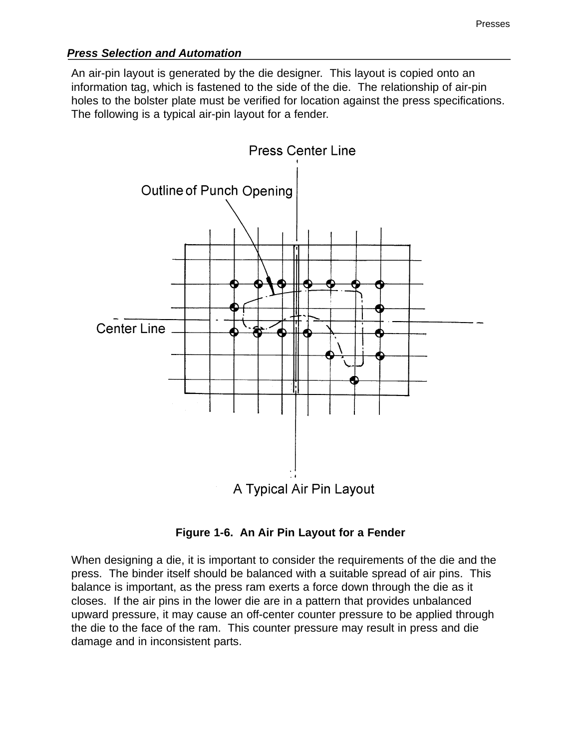## *Press Selection and Automation*

An air-pin layout is generated by the die designer. This layout is copied onto an information tag, which is fastened to the side of the die. The relationship of air-pin holes to the bolster plate must be verified for location against the press specifications. The following is a typical air-pin layout for a fender.



**Figure 1-6. An Air Pin Layout for a Fender**

When designing a die, it is important to consider the requirements of the die and the press. The binder itself should be balanced with a suitable spread of air pins. This balance is important, as the press ram exerts a force down through the die as it closes. If the air pins in the lower die are in a pattern that provides unbalanced upward pressure, it may cause an off-center counter pressure to be applied through the die to the face of the ram. This counter pressure may result in press and die damage and in inconsistent parts.